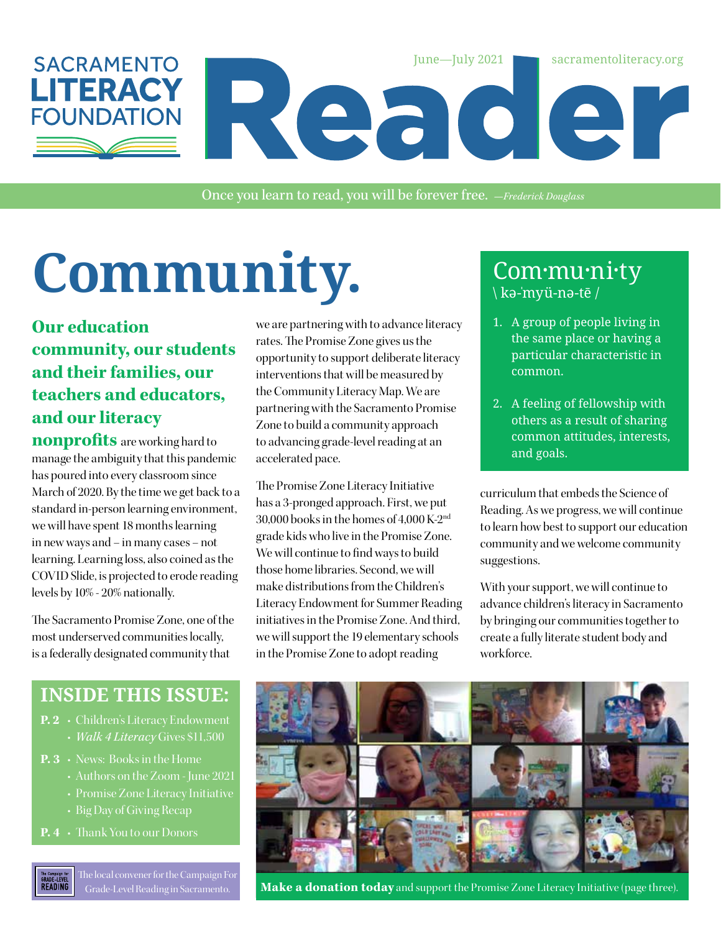

Once you learn to read, you will be forever free. *—Frederick Douglass*

# Community. Com·mu·ni·ty

#### **Our education community, our students and their families, our teachers and educators, and our literacy**

**nonprofits** are working hard to manage the ambiguity that this pandemic has poured into every classroom since March of 2020. By the time we get back to a standard in-person learning environment, we will have spent 18 months learning in new ways and – in many cases – not learning. Learning loss, also coined as the COVID Slide, is projected to erode reading levels by 10% - 20% nationally.

The Sacramento Promise Zone, one of the most underserved communities locally, is a federally designated community that

#### **INSIDE THIS ISSUE:**

- **P. 2** Children's Literacy Endowment
- **P. 3** News: Books in the Home
	- Authors on the Zoom June 2021
	- Promise Zone Literacy Initiative
	- Big Day of Giving Recap
- **P. 4** Thank You to our Donors

The local convener for the Campaign For **GRADE-LEVEL**<br>READING

we are partnering with to advance literacy rates. The Promise Zone gives us the opportunity to support deliberate literacy interventions that will be measured by the Community Literacy Map. We are partnering with the Sacramento Promise Zone to build a community approach to advancing grade-level reading at an accelerated pace.

The Promise Zone Literacy Initiative has a 3-pronged approach. First, we put 30,000 books in the homes of 4,000 K-2nd grade kids who live in the Promise Zone. We will continue to find ways to build those home libraries. Second, we will make distributions from the Children's Literacy Endowment for Summer Reading initiatives in the Promise Zone. And third, we will support the 19 elementary schools in the Promise Zone to adopt reading

# \ kə-ˈmyü-nə-tē /

- 1. A group of people living in the same place or having a particular characteristic in common.
- 2. A feeling of fellowship with others as a result of sharing common attitudes, interests, and goals.

curriculum that embeds the Science of Reading. As we progress, we will continue to learn how best to support our education community and we welcome community suggestions.

With your support, we will continue to advance children's literacy in Sacramento by bringing our communities together to create a fully literate student body and workforce.



Grade-Level Reading in Sacramento. Make a donation today and support the Promise Zone Literacy Initiative (page three).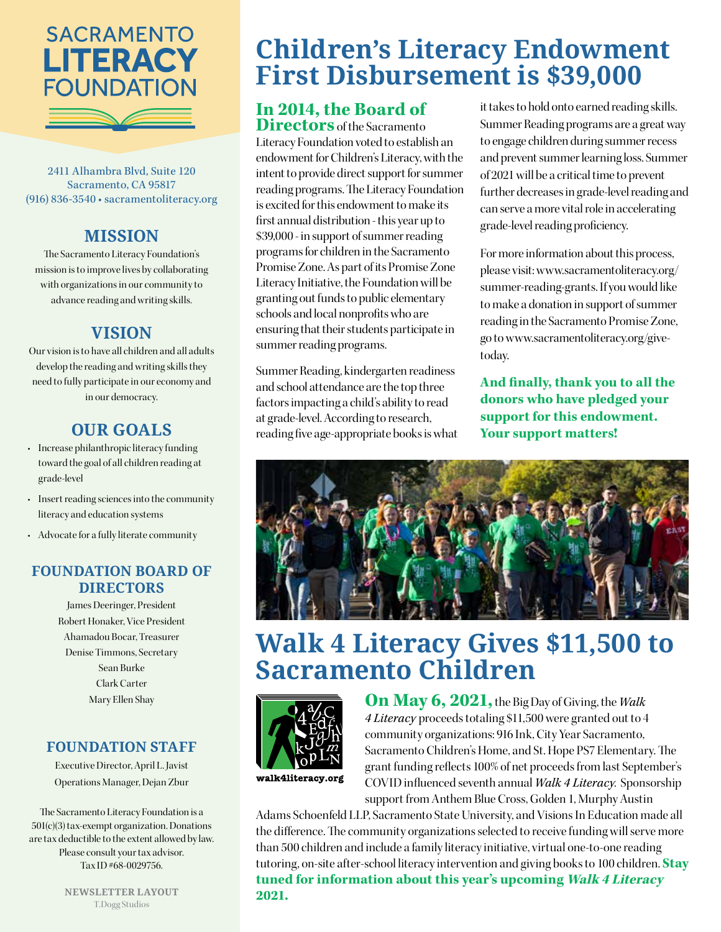

2411 Alhambra Blvd, Suite 120 Sacramento, CA 95817 (916) 836-3540 • sacramentoliteracy.org

#### **MISSION**

The Sacramento Literacy Foundation's mission is to improve lives by collaborating with organizations in our community to advance reading and writing skills.

#### **VISION**

Our vision is to have all children and all adults develop the reading and writing skills they need to fully participate in our economy and in our democracy.

#### **OUR GOALS**

- Increase philanthropic literacy funding toward the goal of all children reading at grade-level
- Insert reading sciences into the community literacy and education systems
- Advocate for a fully literate community

#### **FOUNDATION BOARD OF DIRECTORS**

James Deeringer, President Robert Honaker, Vice President Ahamadou Bocar, Treasurer Denise Timmons, Secretary Sean Burke Clark Carter Mary Ellen Shay

#### **FOUNDATION STAFF**

Executive Director, April L. Javist Operations Manager, Dejan Zbur

The Sacramento Literacy Foundation is a 501(c)(3) tax-exempt organization. Donations are tax deductible to the extent allowed by law. Please consult your tax advisor. Tax ID #68-0029756.

> **NEWSLETTER LAYOUT** T.Dogg Studios

# **Children's Literacy Endowment First Disbursement is \$39,000**

#### **In 2014, the Board of Directors** of the Sacramento

Literacy Foundation voted to establish an endowment for Children's Literacy, with the intent to provide direct support for summer reading programs. The Literacy Foundation is excited for this endowment to make its first annual distribution - this year up to \$39,000 - in support of summer reading programs for children in the Sacramento Promise Zone. As part of its Promise Zone Literacy Initiative, the Foundation will be granting out funds to public elementary schools and local nonprofits who are ensuring that their students participate in summer reading programs.

Summer Reading, kindergarten readiness and school attendance are the top three factors impacting a child's ability to read at grade-level. According to research, reading five age-appropriate books is what it takes to hold onto earned reading skills. Summer Reading programs are a great way to engage children during summer recess and prevent summer learning loss. Summer of 2021 will be a critical time to prevent further decreases in grade-level reading and can serve a more vital role in accelerating grade-level reading proficiency.

For more information about this process, please visit: www.sacramentoliteracy.org/ summer-reading-grants. If you would like to make a donation in support of summer reading in the Sacramento Promise Zone, go to www.sacramentoliteracy.org/givetoday.

**And finally, thank you to all the donors who have pledged your support for this endowment. Your support matters!**



# **Walk 4 Literacy Gives \$11,500 to Sacramento Children**



**On May 6, 2021,** the Big Day of Giving, the *Walk 4 Literacy* proceeds totaling \$11,500 were granted out to 4 community organizations: 916 Ink, City Year Sacramento, Sacramento Children's Home, and St. Hope PS7 Elementary. The grant funding reflects 100% of net proceeds from last September's COVID influenced seventh annual *Walk 4 Literacy*. Sponsorship support from Anthem Blue Cross, Golden 1, Murphy Austin

Adams Schoenfeld LLP, Sacramento State University, and Visions In Education made all the difference. The community organizations selected to receive funding will serve more than 500 children and include a family literacy initiative, virtual one-to-one reading tutoring, on-site after-school literacy intervention and giving books to 100 children. **Stay tuned for information about this year's upcoming Walk 4 Literacy 2021.**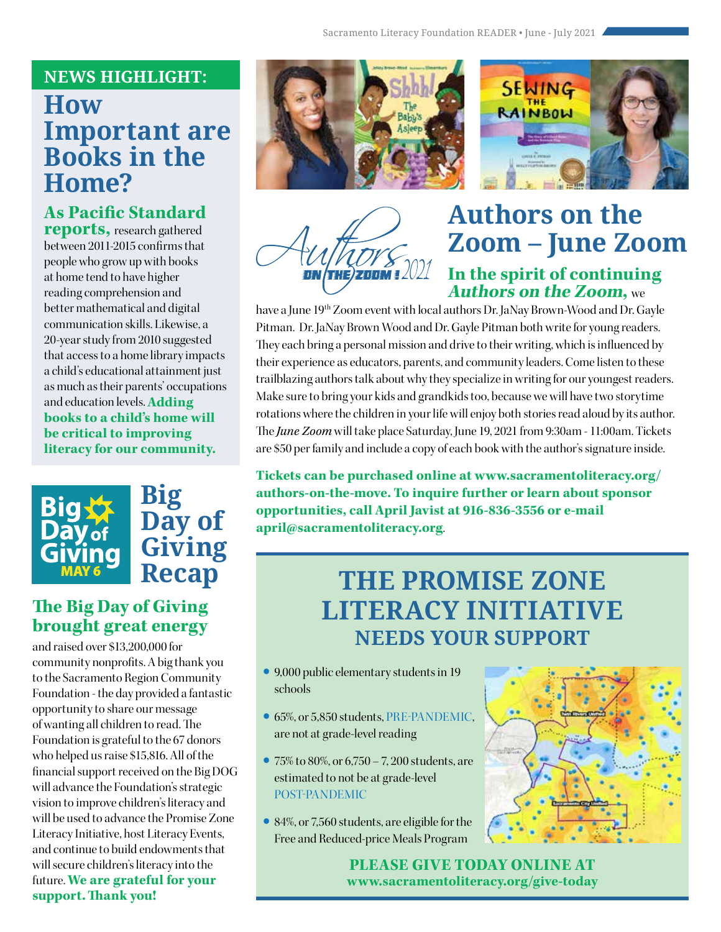#### **NEWS HIGHLIGHT:**

## **How Important are Books in the Home?**

#### **As Pacific Standard reports,** research gathered

between 2011-2015 confirms that people who grow up with books at home tend to have higher reading comprehension and better mathematical and digital communication skills. Likewise, a 20-year study from 2010 suggested that access to a home library impacts a child's educational attainment just as much as their parents' occupations and education levels. **Adding books to a child's home will be critical to improving literacy for our community.** 



#### **The Big Day of Giving brought great energy**

and raised over \$13,200,000 for community nonprofits. A big thank you to the Sacramento Region Community Foundation - the day provided a fantastic opportunity to share our message of wanting all children to read. The Foundation is grateful to the 67 donors who helped us raise \$15,816. All of the financial support received on the Big DOG will advance the Foundation's strategic vision to improve children's literacy and will be used to advance the Promise Zone Literacy Initiative, host Literacy Events, and continue to build endowments that will secure children's literacy into the future. **We are grateful for your support.Thank you!**





/ W// *b*<br>He)znnM1.

## **Authors on the Zoom – June Zoom In the spirit of continuing Authors on the Zoom,** we

have a June 19<sup>th</sup> Zoom event with local authors Dr. JaNay Brown-Wood and Dr. Gayle Pitman. Dr. JaNay Brown Wood and Dr. Gayle Pitman both write for young readers. They each bring a personal mission and drive to their writing, which is influenced by their experience as educators, parents, and community leaders. Come listen to these trailblazing authors talk about why they specialize in writing for our youngest readers. Make sure to bring your kids and grandkids too, because we will have two storytime rotations where the children in your life will enjoy both stories read aloud by its author. The *June Zoom* will take place Saturday, June 19, 2021 from 9:30am - 11:00am. Tickets are \$50 per family and include a copy of each book with the author's signature inside.

**Tickets can be purchased online at www.sacramentoliteracy.org/ authors-on-the-move. To inquire further or learn about sponsor opportunities, call April Javist at 916-836-3556 or e-mail april@sacramentoliteracy.org**.

# **THE PROMISE ZONE LITERACY INITIATIVE NEEDS YOUR SUPPORT**

- **•** 9,000 public elementary students in 19 schools
- **•** 65%, or 5,850 students, PRE-PANDEMIC, are not at grade-level reading
- **•** 75% to 80%, or 6,750 7, 200 students, are estimated to not be at grade-level POST-PANDEMIC
- **•** 84%, or 7,560 students, are eligible for the Free and Reduced-price Meals Program



**PLEASE GIVE TODAY ONLINE AT www.sacramentoliteracy.org/give-today**